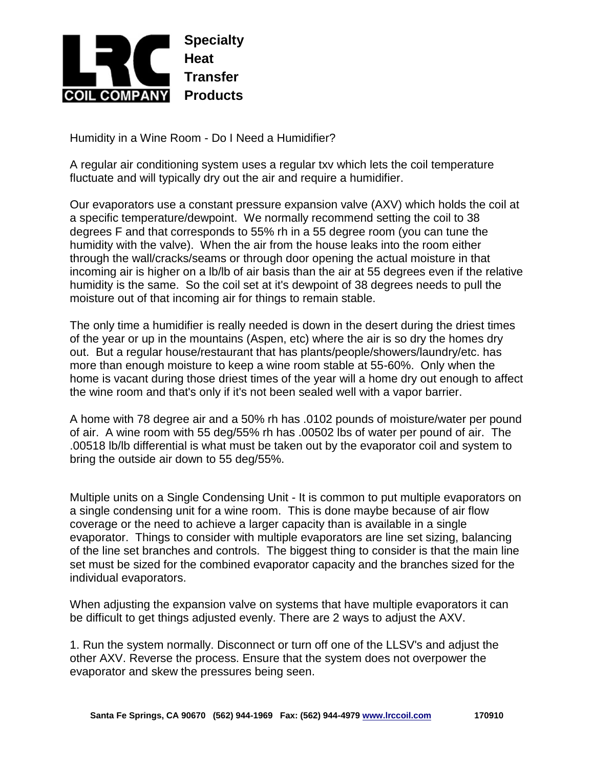

Humidity in a Wine Room - Do I Need a Humidifier?

A regular air conditioning system uses a regular txv which lets the coil temperature fluctuate and will typically dry out the air and require a humidifier.

Our evaporators use a constant pressure expansion valve (AXV) which holds the coil at a specific temperature/dewpoint. We normally recommend setting the coil to 38 degrees F and that corresponds to 55% rh in a 55 degree room (you can tune the humidity with the valve). When the air from the house leaks into the room either through the wall/cracks/seams or through door opening the actual moisture in that incoming air is higher on a lb/lb of air basis than the air at 55 degrees even if the relative humidity is the same. So the coil set at it's dewpoint of 38 degrees needs to pull the moisture out of that incoming air for things to remain stable.

The only time a humidifier is really needed is down in the desert during the driest times of the year or up in the mountains (Aspen, etc) where the air is so dry the homes dry out. But a regular house/restaurant that has plants/people/showers/laundry/etc. has more than enough moisture to keep a wine room stable at 55-60%. Only when the home is vacant during those driest times of the year will a home dry out enough to affect the wine room and that's only if it's not been sealed well with a vapor barrier.

A home with 78 degree air and a 50% rh has .0102 pounds of moisture/water per pound of air. A wine room with 55 deg/55% rh has .00502 lbs of water per pound of air. The .00518 lb/lb differential is what must be taken out by the evaporator coil and system to bring the outside air down to 55 deg/55%.

Multiple units on a Single Condensing Unit - It is common to put multiple evaporators on a single condensing unit for a wine room. This is done maybe because of air flow coverage or the need to achieve a larger capacity than is available in a single evaporator. Things to consider with multiple evaporators are line set sizing, balancing of the line set branches and controls. The biggest thing to consider is that the main line set must be sized for the combined evaporator capacity and the branches sized for the individual evaporators.

When adjusting the expansion valve on systems that have multiple evaporators it can be difficult to get things adjusted evenly. There are 2 ways to adjust the AXV.

1. Run the system normally. Disconnect or turn off one of the LLSV's and adjust the other AXV. Reverse the process. Ensure that the system does not overpower the evaporator and skew the pressures being seen.